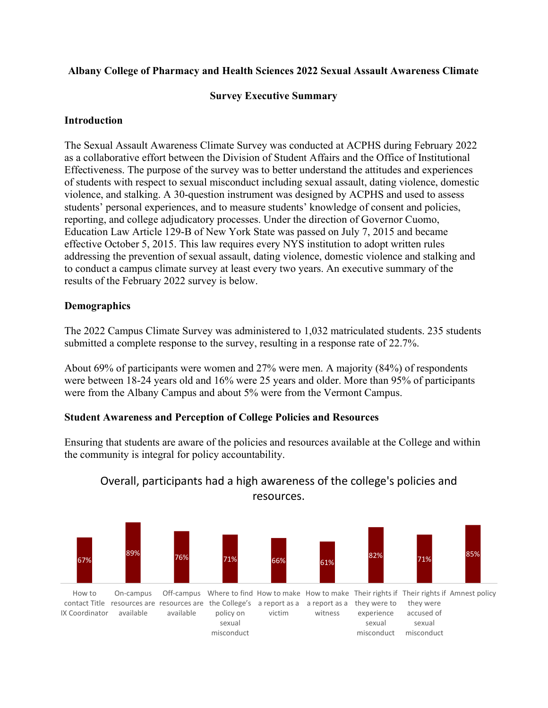### Albany College of Pharmacy and Health Sciences 2022 Sexual Assault Awareness Climate

#### Survey Executive Summary

#### Introduction

The Sexual Assault Awareness Climate Survey was conducted at ACPHS during February 2022 as a collaborative effort between the Division of Student Affairs and the Office of Institutional Effectiveness. The purpose of the survey was to better understand the attitudes and experiences of students with respect to sexual misconduct including sexual assault, dating violence, domestic violence, and stalking. A 30-question instrument was designed by ACPHS and used to assess students' personal experiences, and to measure students' knowledge of consent and policies, reporting, and college adjudicatory processes. Under the direction of Governor Cuomo, Education Law Article 129-B of New York State was passed on July 7, 2015 and became effective October 5, 2015. This law requires every NYS institution to adopt written rules addressing the prevention of sexual assault, dating violence, domestic violence and stalking and to conduct a campus climate survey at least every two years. An executive summary of the results of the February 2022 survey is below.

#### Demographics

The 2022 Campus Climate Survey was administered to 1,032 matriculated students. 235 students submitted a complete response to the survey, resulting in a response rate of 22.7%.

About 69% of participants were women and 27% were men. A majority (84%) of respondents were between 18-24 years old and 16% were 25 years and older. More than 95% of participants were from the Albany Campus and about 5% were from the Vermont Campus.

#### Student Awareness and Perception of College Policies and Resources

Ensuring that students are aware of the policies and resources available at the College and within the community is integral for policy accountability.



# Overall, participants had a high awareness of the college's policies and resources.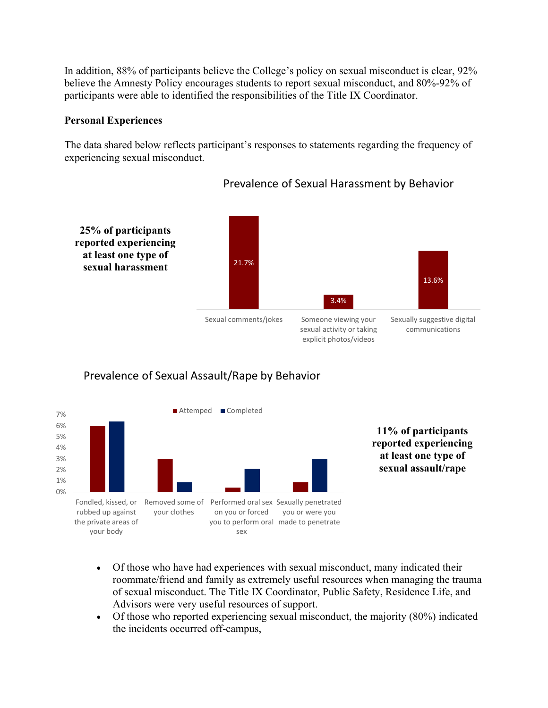In addition, 88% of participants believe the College's policy on sexual misconduct is clear, 92% believe the Amnesty Policy encourages students to report sexual misconduct, and 80%-92% of participants were able to identified the responsibilities of the Title IX Coordinator.

#### Personal Experiences

The data shared below reflects participant's responses to statements regarding the frequency of experiencing sexual misconduct.



## Prevalence of Sexual Harassment by Behavior





- Of those who have had experiences with sexual misconduct, many indicated their roommate/friend and family as extremely useful resources when managing the trauma of sexual misconduct. The Title IX Coordinator, Public Safety, Residence Life, and Advisors were very useful resources of support.
- Of those who reported experiencing sexual misconduct, the majority (80%) indicated the incidents occurred off-campus,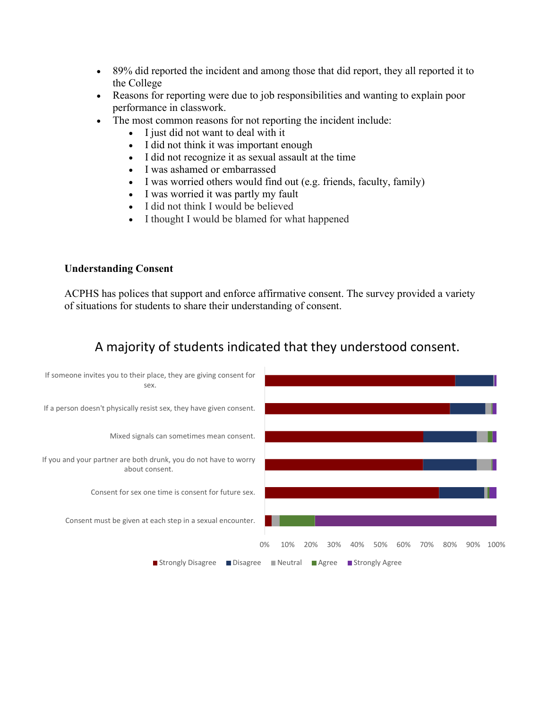- 89% did reported the incident and among those that did report, they all reported it to the College
- Reasons for reporting were due to job responsibilities and wanting to explain poor performance in classwork.
- The most common reasons for not reporting the incident include:
	- $\bullet$  I just did not want to deal with it
	- I did not think it was important enough
	- I did not recognize it as sexual assault at the time
	- I was ashamed or embarrassed
	- I was worried others would find out (e.g. friends, faculty, family)
	- I was worried it was partly my fault
	- I did not think I would be believed
	- I thought I would be blamed for what happened

#### Understanding Consent

ACPHS has polices that support and enforce affirmative consent. The survey provided a variety of situations for students to share their understanding of consent.

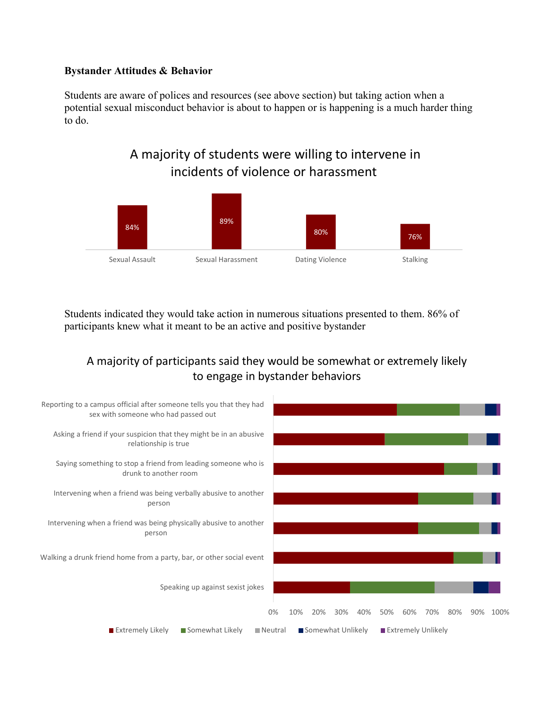#### Bystander Attitudes & Behavior

Students are aware of polices and resources (see above section) but taking action when a potential sexual misconduct behavior is about to happen or is happening is a much harder thing to do.

# A majority of students were willing to intervene in incidents of violence or harassment



Students indicated they would take action in numerous situations presented to them. 86% of participants knew what it meant to be an active and positive bystander

# A majority of participants said they would be somewhat or extremely likely to engage in bystander behaviors

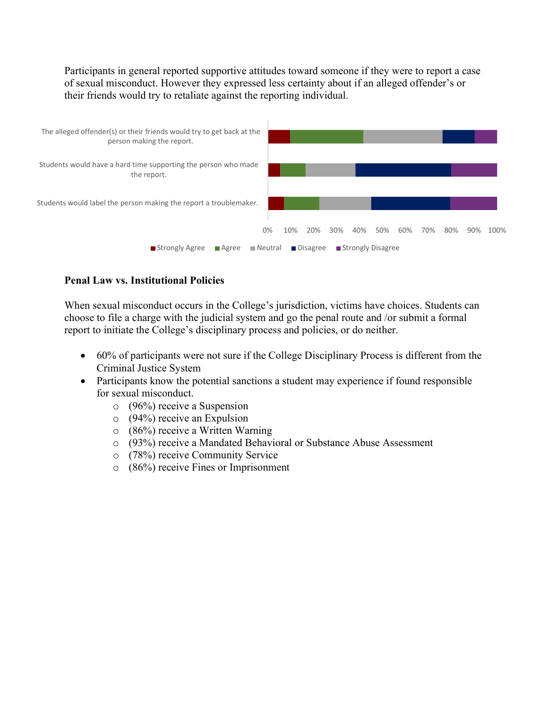Participants in general reported supportive attitudes toward someone if they were to report a case of sexual misconduct. However they expressed less certainty about if an alleged offender's or their friends would try to retaliate against the reporting individual.



## Penal Law vs. Institutional Policies

When sexual misconduct occurs in the College's jurisdiction, victims have choices. Students can choose to file a charge with the judicial system and go the penal route and /or submit a formal report to initiate the College's disciplinary process and policies, or do neither.

- 60% of participants were not sure if the College Disciplinary Process is different from the Criminal Justice System
- Participants know the potential sanctions a student may experience if found responsible for sexual misconduct.
	- o (96%) receive a Suspension
	- o (94%) receive an Expulsion
	- o (86%) receive a Written Warning
	- o (93%) receive a Mandated Behavioral or Substance Abuse Assessment
	- o (78%) receive Community Service
	- o (86%) receive Fines or Imprisonment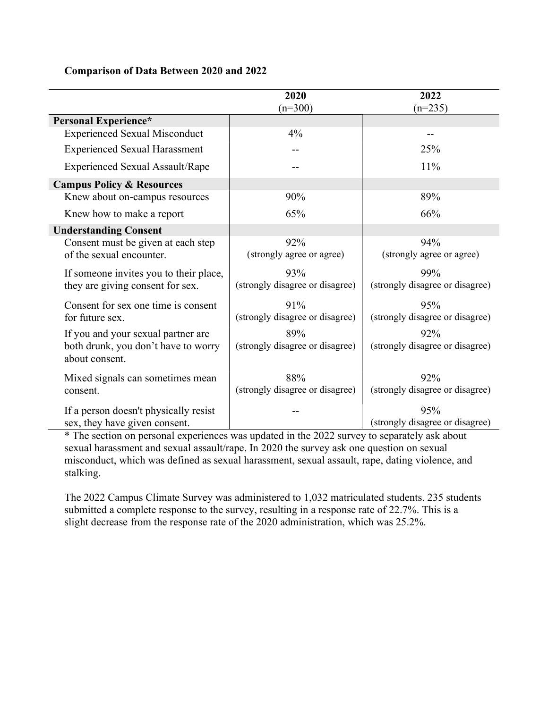### Comparison of Data Between 2020 and 2022

|                                        | 2020                            | 2022                            |
|----------------------------------------|---------------------------------|---------------------------------|
|                                        | $(n=300)$                       | $(n=235)$                       |
| Personal Experience*                   |                                 |                                 |
| <b>Experienced Sexual Misconduct</b>   | $4\%$                           |                                 |
| <b>Experienced Sexual Harassment</b>   |                                 | 25%                             |
| <b>Experienced Sexual Assault/Rape</b> |                                 | 11%                             |
| <b>Campus Policy &amp; Resources</b>   |                                 |                                 |
| Knew about on-campus resources         | 90%                             | 89%                             |
| Knew how to make a report              | 65%                             | 66%                             |
| <b>Understanding Consent</b>           |                                 |                                 |
| Consent must be given at each step     | 92%                             | 94%                             |
| of the sexual encounter.               | (strongly agree or agree)       | (strongly agree or agree)       |
| If someone invites you to their place, | 93%                             | 99%                             |
| they are giving consent for sex.       | (strongly disagree or disagree) | (strongly disagree or disagree) |
| Consent for sex one time is consent    | 91%                             | 95%                             |
| for future sex.                        | (strongly disagree or disagree) | (strongly disagree or disagree) |
| If you and your sexual partner are     | 89%                             | 92%                             |
| both drunk, you don't have to worry    | (strongly disagree or disagree) | (strongly disagree or disagree) |
| about consent.                         |                                 |                                 |
| Mixed signals can sometimes mean       | 88%                             | 92%                             |
| consent.                               | (strongly disagree or disagree) | (strongly disagree or disagree) |
| If a person doesn't physically resist  |                                 | 95%                             |
| sex, they have given consent.          |                                 | (strongly disagree or disagree) |

\* The section on personal experiences was updated in the 2022 survey to separately ask about sexual harassment and sexual assault/rape. In 2020 the survey ask one question on sexual misconduct, which was defined as sexual harassment, sexual assault, rape, dating violence, and stalking.

The 2022 Campus Climate Survey was administered to 1,032 matriculated students. 235 students submitted a complete response to the survey, resulting in a response rate of 22.7%. This is a slight decrease from the response rate of the 2020 administration, which was 25.2%.